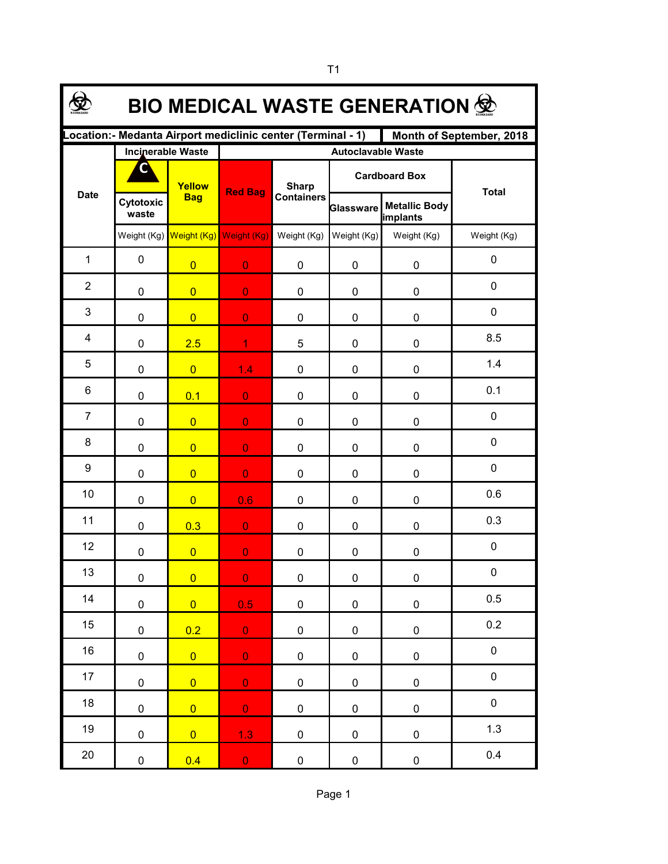| <b>BIO MEDICAL WASTE GENERATION 佥</b>                                                   |                    |                                     |                |                                   |                      |                                  |              |  |  |  |  |
|-----------------------------------------------------------------------------------------|--------------------|-------------------------------------|----------------|-----------------------------------|----------------------|----------------------------------|--------------|--|--|--|--|
| Location:- Medanta Airport mediclinic center (Terminal - 1)<br>Month of September, 2018 |                    |                                     |                |                                   |                      |                                  |              |  |  |  |  |
| <b>Date</b>                                                                             |                    | <b>Incinerable Waste</b>            |                | <b>Autoclavable Waste</b>         |                      |                                  |              |  |  |  |  |
|                                                                                         | С                  | Yellow<br><b>Bag</b>                | <b>Red Bag</b> | <b>Sharp</b><br><b>Containers</b> | <b>Cardboard Box</b> |                                  | <b>Total</b> |  |  |  |  |
|                                                                                         | Cytotoxic<br>waste |                                     |                |                                   | Glassware            | <b>Metallic Body</b><br>implants |              |  |  |  |  |
|                                                                                         |                    | Weight (Kg) Weight (Kg) Weight (Kg) |                | Weight (Kg)                       | Weight (Kg)          | Weight (Kg)                      | Weight (Kg)  |  |  |  |  |
| $\mathbf{1}$                                                                            | $\pmb{0}$          | $\overline{0}$                      | $\overline{0}$ | 0                                 | 0                    | 0                                | $\mathbf 0$  |  |  |  |  |
| $\overline{2}$                                                                          | 0                  | $\overline{0}$                      | $\overline{0}$ | 0                                 | 0                    | 0                                | $\mathbf 0$  |  |  |  |  |
| 3                                                                                       | 0                  | $\overline{0}$                      | $\overline{0}$ | 0                                 | 0                    | 0                                | $\mathbf 0$  |  |  |  |  |
| 4                                                                                       | 0                  | 2.5                                 | $\mathbf{1}$   | 5                                 | 0                    | 0                                | 8.5          |  |  |  |  |
| 5                                                                                       | 0                  | $\overline{0}$                      | 1.4            | 0                                 | 0                    | 0                                | 1.4          |  |  |  |  |
| 6                                                                                       | 0                  | 0.1                                 | $\overline{0}$ | 0                                 | 0                    | 0                                | 0.1          |  |  |  |  |
| $\overline{7}$                                                                          | 0                  | $\overline{0}$                      | $\overline{0}$ | 0                                 | 0                    | 0                                | 0            |  |  |  |  |
| 8                                                                                       | 0                  | $\overline{0}$                      | $\overline{0}$ | 0                                 | 0                    | 0                                | 0            |  |  |  |  |
| 9                                                                                       | 0                  | $\overline{0}$                      | $\overline{0}$ | 0                                 | 0                    | 0                                | 0            |  |  |  |  |
| 10                                                                                      | 0                  | $\overline{0}$                      | 0.6            | 0                                 | 0                    | 0                                | 0.6          |  |  |  |  |
| 11                                                                                      | 0                  | 0.3                                 | $\overline{0}$ | 0                                 | 0                    | 0                                | 0.3          |  |  |  |  |
| 12                                                                                      | 0                  | $\overline{0}$                      | $\overline{0}$ | 0                                 | 0                    | 0                                | $\mathbf 0$  |  |  |  |  |
| 13                                                                                      | $\pmb{0}$          | $\overline{0}$                      | $\overline{0}$ | $\pmb{0}$                         | $\pmb{0}$            | $\pmb{0}$                        | $\pmb{0}$    |  |  |  |  |
| 14                                                                                      | $\pmb{0}$          | $\overline{0}$                      | 0.5            | $\pmb{0}$                         | 0                    | $\pmb{0}$                        | 0.5          |  |  |  |  |
| 15                                                                                      | $\pmb{0}$          | 0.2                                 | $\mathbf{0}$   | 0                                 | 0                    | $\pmb{0}$                        | 0.2          |  |  |  |  |
| 16                                                                                      | $\pmb{0}$          | $\overline{0}$                      | $\overline{0}$ | $\pmb{0}$                         | 0                    | $\pmb{0}$                        | $\pmb{0}$    |  |  |  |  |
| 17                                                                                      | $\mathbf 0$        | $\overline{0}$                      | $\overline{0}$ | $\pmb{0}$                         | 0                    | $\pmb{0}$                        | $\pmb{0}$    |  |  |  |  |
| 18                                                                                      | $\mathbf 0$        | $\overline{0}$                      | $\overline{0}$ | 0                                 | 0                    | $\pmb{0}$                        | $\pmb{0}$    |  |  |  |  |
| 19                                                                                      | $\pmb{0}$          | $\overline{0}$                      | 1.3            | 0                                 | 0                    | $\pmb{0}$                        | 1.3          |  |  |  |  |
| $20\,$                                                                                  | 0                  | 0.4                                 | $\overline{0}$ | $\pmb{0}$                         | 0                    | $\pmb{0}$                        | 0.4          |  |  |  |  |